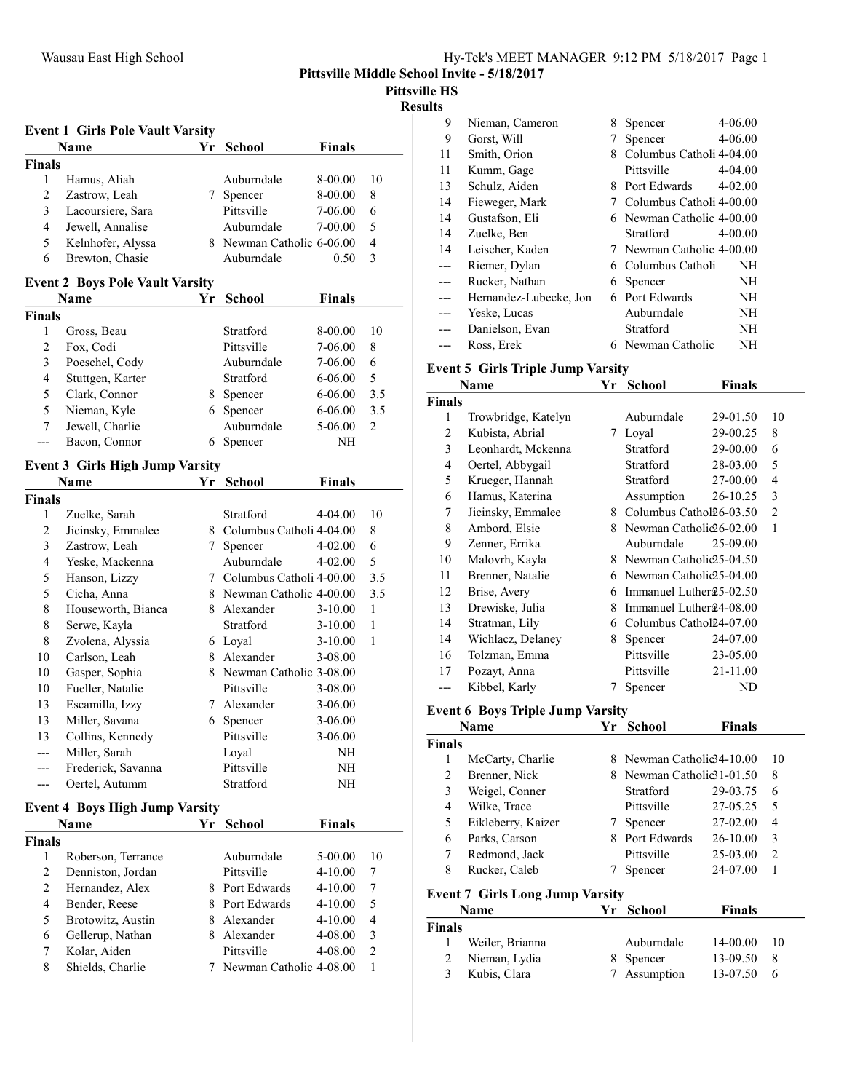Pittsville HS

#### Results

| <b>Event 1 Girls Pole Vault Varsity</b> |                                        |    |                            |               |                |  |  |
|-----------------------------------------|----------------------------------------|----|----------------------------|---------------|----------------|--|--|
|                                         | Name                                   | Yr | School                     | <b>Finals</b> |                |  |  |
| <b>Finals</b>                           |                                        |    |                            |               |                |  |  |
| 1                                       | Hamus, Aliah                           |    | Auburndale                 | 8-00.00       | 10             |  |  |
| 2                                       | Zastrow, Leah                          |    | 7 Spencer                  | 8-00.00       | 8              |  |  |
| 3                                       | Lacoursiere, Sara                      |    | Pittsville                 | 7-06.00       | 6              |  |  |
| 4                                       | Jewell, Annalise                       |    | Auburndale                 | 7-00.00       | 5              |  |  |
| 5                                       | Kelnhofer, Alyssa                      |    | 8 Newman Catholic 6-06.00  |               | $\overline{4}$ |  |  |
| 6                                       | Brewton, Chasie                        |    | Auburndale                 | 0.50          | 3              |  |  |
|                                         | <b>Event 2 Boys Pole Vault Varsity</b> |    |                            |               |                |  |  |
|                                         | Name                                   | Υr | School                     | <b>Finals</b> |                |  |  |
| <b>Finals</b>                           |                                        |    |                            |               |                |  |  |
| 1                                       | Gross, Beau                            |    | Stratford                  | 8-00.00       | 10             |  |  |
| $\overline{c}$                          | Fox, Codi                              |    | Pittsville                 | 7-06.00       | 8              |  |  |
| 3                                       | Poeschel, Cody                         |    | Auburndale                 | 7-06.00       | 6              |  |  |
| 4                                       | Stuttgen, Karter                       |    | Stratford                  | 6-06.00       | 5              |  |  |
| 5                                       | Clark, Connor                          |    | 8 Spencer                  | $6 - 06.00$   | 3.5            |  |  |
| 5                                       | Nieman, Kyle                           |    | 6 Spencer                  | 6-06.00       | 3.5            |  |  |
| 7                                       | Jewell, Charlie                        |    | Auburndale                 | 5-06.00       | 2              |  |  |
|                                         | Bacon, Connor                          | 6  | Spencer                    | NΗ            |                |  |  |
|                                         | <b>Event 3 Girls High Jump Varsity</b> |    |                            |               |                |  |  |
|                                         | Name                                   | Yr | School                     | <b>Finals</b> |                |  |  |
| <b>Finals</b>                           |                                        |    |                            |               |                |  |  |
| 1                                       | Zuelke, Sarah                          |    | Stratford                  | $4 - 04.00$   | 10             |  |  |
| 2                                       | Jicinsky, Emmalee                      |    | 8 Columbus Catholi 4-04.00 |               | 8              |  |  |
| 3                                       | Zastrow, Leah                          | 7  | Spencer                    | 4-02.00       | 6              |  |  |
| 4                                       | Yeske, Mackenna                        |    | Auburndale                 | $4 - 02.00$   | 5              |  |  |
| 5                                       | Hanson, Lizzy                          |    | 7 Columbus Catholi 4-00.00 |               | 3.5            |  |  |
| 5                                       | Cicha, Anna                            |    | 8 Newman Catholic 4-00.00  |               | 3.5            |  |  |
| 8                                       | Houseworth, Bianca                     |    | 8 Alexander                | $3-10.00$     | 1              |  |  |
| 8                                       | Serwe, Kayla                           |    | Stratford                  | $3-10.00$     | 1              |  |  |
| 8                                       | Zvolena, Alyssia                       |    | 6 Loyal                    | $3-10.00$     | 1              |  |  |
| 10                                      | Carlson, Leah                          |    | 8 Alexander                | 3-08.00       |                |  |  |
| 10                                      | Gasper, Sophia                         |    | 8 Newman Catholic 3-08.00  |               |                |  |  |
| 10                                      | Fueller, Natalie                       |    | Pittsville                 | 3-08.00       |                |  |  |
|                                         |                                        |    | 7 Alexander                | 3-06.00       |                |  |  |
| 13                                      | Escamilla, Izzy                        |    |                            |               |                |  |  |
| 13                                      | Miller, Savana                         | 6  | Spencer<br>Pittsville      | $3-06.00$     |                |  |  |
| 13                                      | Collins, Kennedy                       |    |                            | $3-06.00$     |                |  |  |
|                                         | Miller, Sarah                          |    | Loyal                      | NH            |                |  |  |
|                                         | Frederick, Savanna                     |    | Pittsville<br>Stratford    | NΗ            |                |  |  |
|                                         | Oertel, Autumm                         |    |                            | NH            |                |  |  |
|                                         | <b>Event 4 Boys High Jump Varsity</b>  |    |                            |               |                |  |  |
|                                         | Name                                   |    | Yr School                  | <b>Finals</b> |                |  |  |
| <b>Finals</b>                           |                                        |    |                            |               |                |  |  |
| 1                                       | Roberson, Terrance                     |    | Auburndale                 | 5-00.00       | 10             |  |  |
| 2                                       | Denniston, Jordan                      |    | Pittsville                 | 4-10.00       | 7              |  |  |
| 2                                       | Hernandez, Alex                        |    | 8 Port Edwards             | 4-10.00       | 7              |  |  |
| $\overline{4}$                          | Bender, Reese                          |    | 8 Port Edwards             | 4-10.00       | 5              |  |  |
| 5                                       | Brotowitz, Austin                      |    | 8 Alexander                | 4-10.00       | $\overline{4}$ |  |  |
| 6                                       | Gellerup, Nathan                       |    | 8 Alexander                | 4-08.00       | 3              |  |  |
| 7                                       | Kolar, Aiden                           |    | Pittsville                 | 4-08.00       | $\overline{c}$ |  |  |
| 8                                       | Shields, Charlie                       | 7  | Newman Catholic 4-08.00    |               | 1              |  |  |
|                                         |                                        |    |                            |               |                |  |  |

| э  |                        |   |                           |             |
|----|------------------------|---|---------------------------|-------------|
| 9  | Nieman, Cameron        | 8 | Spencer                   | 4-06.00     |
| 9  | Gorst, Will            | 7 | Spencer                   | 4-06.00     |
| 11 | Smith, Orion           | 8 | Columbus Catholi 4-04.00  |             |
| 11 | Kumm, Gage             |   | Pittsville                | $4 - 04.00$ |
| 13 | Schulz, Aiden          | 8 | Port Edwards              | $4 - 02.00$ |
| 14 | Fieweger, Mark         | 7 | Columbus Catholi 4-00.00  |             |
| 14 | Gustafson, Eli         |   | 6 Newman Catholic 4-00.00 |             |
| 14 | Zuelke, Ben            |   | <b>Stratford</b>          | $4 - 00.00$ |
| 14 | Leischer, Kaden        |   | 7 Newman Catholic 4-00.00 |             |
|    | Riemer, Dylan          |   | 6 Columbus Catholi        | NH          |
|    | Rucker, Nathan         | 6 | Spencer                   | NH          |
|    | Hernandez-Lubecke, Jon | 6 | Port Edwards              | NH          |
|    | Yeske, Lucas           |   | Auburndale                | NH          |
|    | Danielson, Evan        |   | Stratford                 | NH          |
|    | Ross, Erek             |   | 6 Newman Catholic         | NΗ          |

# Event 5 Girls Triple Jump Varsity

|               | Name                | Yr | <b>School</b>                        | Finals     |                |
|---------------|---------------------|----|--------------------------------------|------------|----------------|
| <b>Finals</b> |                     |    |                                      |            |                |
| 1             | Trowbridge, Katelyn |    | Auburndale                           | 29-01.50   | 10             |
| 2             | Kubista, Abrial     | 7  | Loyal                                | 29-00.25   | 8              |
| 3             | Leonhardt, Mckenna  |    | Stratford                            | 29-00.00   | 6              |
| 4             | Oertel, Abbygail    |    | Stratford                            | 28-03.00   | 5              |
| 5             | Krueger, Hannah     |    | Stratford                            | 27-00.00   | 4              |
| 6             | Hamus, Katerina     |    | Assumption                           | $26-10.25$ | 3              |
| 7             | Jicinsky, Emmalee   | 8  | Columbus Cathol26-03.50              |            | $\overline{2}$ |
| 8             | Ambord, Elsie       | 8. | Newman Catholi $\mathcal{Q}6$ -02.00 |            | 1              |
| 9             | Zenner, Errika      |    | Auburndale                           | 25-09.00   |                |
| 10            | Malovrh, Kayla      | 8. | Newman Catholic 25-04.50             |            |                |
| 11            | Brenner, Natalie    | 6  | Newman Catholic 25-04.00             |            |                |
| 12            | Brise, Avery        | 6  | Immanuel Luther 25-02.50             |            |                |
| 13            | Drewiske, Julia     | 8  | Immanuel Luther 24-08.00             |            |                |
| 14            | Stratman, Lily      | 6  | Columbus Cathol24-07.00              |            |                |
| 14            | Wichlacz, Delaney   | 8  | Spencer                              | 24-07.00   |                |
| 16            | Tolzman, Emma       |    | Pittsville                           | 23-05.00   |                |
| 17            | Pozayt, Anna        |    | Pittsville                           | 21-11.00   |                |
|               | Kibbel, Karly       | 7  | Spencer                              | ND         |                |

# Event 6 Boys Triple Jump Varsity

| Name   |                                        |               | Yr School                  | <b>Finals</b> |                |
|--------|----------------------------------------|---------------|----------------------------|---------------|----------------|
| Finals |                                        |               |                            |               |                |
|        | McCarty, Charlie                       | 8.            | Newman Catholic 34-10.00   |               | 10             |
| 2      | Brenner, Nick                          |               | 8 Newman Catholic 31-01.50 |               | 8              |
| 3      | Weigel, Conner                         |               | Stratford                  | 29-03.75      | 6              |
| 4      | Wilke, Trace                           |               | Pittsville                 | 27-05.25      | 5              |
| 5      | Eikleberry, Kaizer                     | $\frac{1}{2}$ | Spencer                    | 27-02.00      | $\overline{4}$ |
| 6      | Parks, Carson                          | 8.            | Port Edwards               | 26-10.00      | 3              |
| 7      | Redmond, Jack                          |               | Pittsville                 | 25-03.00      | $\overline{2}$ |
| 8      | Rucker, Caleb                          |               | Spencer                    | 24-07.00      | 1              |
|        | <b>Event 7 Girls Long Jump Varsity</b> |               |                            |               |                |
| Name   |                                        | Yr            | <b>School</b>              | <b>Finals</b> |                |
| Finals |                                        |               |                            |               |                |

| Finals |                 |              |              |    |  |
|--------|-----------------|--------------|--------------|----|--|
|        | Weiler, Brianna | Auburndale   | 14-00.00     | 10 |  |
|        | Nieman, Lydia   | 8 Spencer    | $13-09.50$ 8 |    |  |
|        | 3 Kubis, Clara  | 7 Assumption | $13-07.50$ 6 |    |  |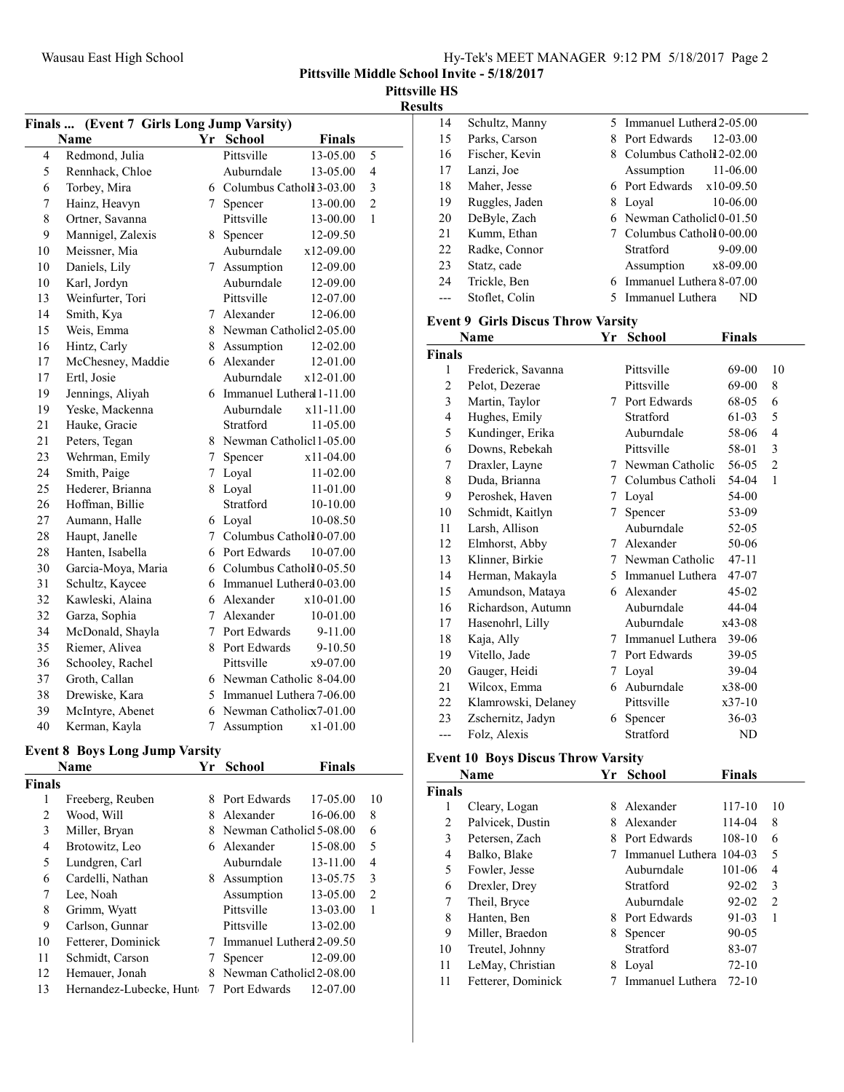|  |  | Hy-Tek's MEET MANAGER 9:12 PM 5/18/2017 Page 2 |  |  |  |  |
|--|--|------------------------------------------------|--|--|--|--|
|--|--|------------------------------------------------|--|--|--|--|

Pittsville HS

Results

| Finals  (Event 7 Girls Long Jump Varsity) |                    |             |                             |               |                |  |
|-------------------------------------------|--------------------|-------------|-----------------------------|---------------|----------------|--|
|                                           | <b>Name</b>        |             | Yr School                   | <b>Finals</b> |                |  |
| $\overline{4}$                            | Redmond, Julia     |             | Pittsville                  | 13-05.00      | 5              |  |
| 5                                         | Rennhack, Chloe    |             | Auburndale                  | 13-05.00      | $\overline{4}$ |  |
| 6                                         | Torbey, Mira       |             | 6 Columbus Catholi 3-03.00  |               | 3              |  |
| 7                                         | Hainz, Heavyn      | 7           | Spencer                     | 13-00.00      | $\overline{c}$ |  |
| 8                                         | Ortner, Savanna    |             | Pittsville                  | 13-00.00      | 1              |  |
| 9                                         | Mannigel, Zalexis  | 8.          | Spencer                     | 12-09.50      |                |  |
| 10                                        | Meissner, Mia      |             | Auburndale                  | x12-09.00     |                |  |
| 10                                        | Daniels, Lily      | 7           | Assumption                  | 12-09.00      |                |  |
| 10                                        | Karl, Jordyn       |             | Auburndale                  | 12-09.00      |                |  |
| 13                                        | Weinfurter, Tori   |             | Pittsville                  | 12-07.00      |                |  |
| 14                                        | Smith, Kya         |             | 7 Alexander                 | 12-06.00      |                |  |
| 15                                        | Weis, Emma         |             | 8 Newman Catholic 2-05.00   |               |                |  |
| 16                                        | Hintz, Carly       |             | 8 Assumption                | 12-02.00      |                |  |
| 17                                        | McChesney, Maddie  |             | 6 Alexander                 | 12-01.00      |                |  |
| 17                                        | Ertl, Josie        |             | Auburndale                  | x12-01.00     |                |  |
| 19                                        | Jennings, Aliyah   |             | 6 Immanuel Lutheral 1-11.00 |               |                |  |
| 19                                        | Yeske, Mackenna    |             | Auburndale                  | x11-11.00     |                |  |
| 21                                        | Hauke, Gracie      |             | Stratford                   | 11-05.00      |                |  |
| 21                                        | Peters, Tegan      |             | 8 Newman Catholic11-05.00   |               |                |  |
| 23                                        | Wehrman, Emily     | $7^{\circ}$ | Spencer                     | x11-04.00     |                |  |
| 24                                        | Smith, Paige       | $7^{\circ}$ | Loyal                       | 11-02.00      |                |  |
| 25                                        | Hederer, Brianna   |             | 8 Loyal                     | 11-01.00      |                |  |
| 26                                        | Hoffman, Billie    |             | Stratford                   | 10-10.00      |                |  |
| 27                                        | Aumann, Halle      |             | 6 Loyal                     | 10-08.50      |                |  |
| 28                                        | Haupt, Janelle     | $7^{\circ}$ | Columbus Catholil 0-07.00   |               |                |  |
| 28                                        | Hanten, Isabella   |             | 6 Port Edwards              | 10-07.00      |                |  |
| 30                                        | Garcia-Moya, Maria |             | 6 Columbus Catholi 0-05.50  |               |                |  |
| 31                                        | Schultz, Kaycee    |             | 6 Immanuel Luthera 0-03.00  |               |                |  |
| 32                                        | Kawleski, Alaina   |             | 6 Alexander                 | $x10-01.00$   |                |  |
| 32                                        | Garza, Sophia      | 7           | Alexander                   | 10-01.00      |                |  |
| 34                                        | McDonald, Shayla   |             | 7 Port Edwards              | 9-11.00       |                |  |
| 35                                        | Riemer, Alivea     |             | 8 Port Edwards              | 9-10.50       |                |  |
| 36                                        | Schooley, Rachel   |             | Pittsville                  | x9-07.00      |                |  |
| 37                                        | Groth, Callan      |             | 6 Newman Catholic 8-04.00   |               |                |  |
| 38                                        | Drewiske, Kara     |             | 5 Immanuel Luthera 7-06.00  |               |                |  |
| 39                                        | McIntyre, Abenet   |             | 6 Newman Catholic 7-01.00   |               |                |  |
| 40                                        | Kerman, Kayla      | 7           | Assumption                  | $x1-01.00$    |                |  |

#### Event 8 Boys Long Jump Varsity

|               | Name                    | Yr | <b>School</b>             | Finals   |                |
|---------------|-------------------------|----|---------------------------|----------|----------------|
| <b>Finals</b> |                         |    |                           |          |                |
| 1             | Freeberg, Reuben        | 8  | Port Edwards              | 17-05.00 | 10             |
| 2             | Wood, Will              | 8  | Alexander                 | 16-06.00 | 8              |
| 3             | Miller, Bryan           |    | 8 Newman Catholic 5-08.00 |          | 6              |
| 4             | Brotowitz, Leo          |    | 6 Alexander               | 15-08.00 | 5              |
| 5             | Lundgren, Carl          |    | Auburndale                | 13-11.00 | 4              |
| 6             | Cardelli, Nathan        | 8  | Assumption                | 13-05.75 | 3              |
| 7             | Lee, Noah               |    | Assumption                | 13-05.00 | $\overline{2}$ |
| 8             | Grimm, Wyatt            |    | Pittsville                | 13-03.00 | 1              |
| 9             | Carlson, Gunnar         |    | Pittsville                | 13-02.00 |                |
| 10            | Fetterer, Dominick      |    | Immanuel Lutherd 2-09.50  |          |                |
| 11            | Schmidt, Carson         |    | Spencer                   | 12-09.00 |                |
| 12            | Hemauer, Jonah          | 8  | Newman Catholic 2-08.00   |          |                |
| 13            | Hernandez-Lubecke, Hunt |    | 7 Port Edwards            | 12-07.00 |                |

| 14 |                |   | 5 Immanuel Lutherd 2-05.00 |
|----|----------------|---|----------------------------|
|    | Schultz, Manny |   |                            |
| 15 | Parks, Carson  | 8 | Port Edwards<br>12-03.00   |
| 16 | Fischer, Kevin | 8 | Columbus Catholi 2-02.00   |
| 17 | Lanzi, Joe     |   | $11 - 06.00$<br>Assumption |
| 18 | Maher, Jesse   |   | 6 Port Edwards $x10-09.50$ |
| 19 | Ruggles, Jaden | 8 | 10-06.00<br>Loyal          |
| 20 | DeByle, Zach   |   | 6 Newman Catholic 0-01.50  |
| 21 | Kumm, Ethan    |   | 7 Columbus Cathold 0-00.00 |
| 22 | Radke, Connor  |   | 9-09.00<br>Stratford       |
| 23 | Statz, cade    |   | Assumption<br>x8-09.00     |
| 24 | Trickle, Ben   | 6 | Immanuel Luthera 8-07.00   |
|    | Stoflet, Colin |   | Immanuel Luthera<br>ND     |

# Event 9 Girls Discus Throw Varsity

| Name          |                     | Yr | School             | Finals    |                |
|---------------|---------------------|----|--------------------|-----------|----------------|
| <b>Finals</b> |                     |    |                    |           |                |
| 1             | Frederick, Savanna  |    | Pittsville         | 69-00     | 10             |
| 2             | Pelot, Dezerae      |    | Pittsville         | 69-00     | 8              |
| 3             | Martin, Taylor      |    | 7 Port Edwards     | 68-05     | 6              |
| 4             | Hughes, Emily       |    | Stratford          | 61-03     | 5              |
| 5             | Kundinger, Erika    |    | Auburndale         | 58-06     | $\overline{4}$ |
| 6             | Downs, Rebekah      |    | Pittsville         | 58-01     | 3              |
| 7             | Draxler, Layne      | 7  | Newman Catholic    | 56-05     | $\overline{2}$ |
| 8             | Duda, Brianna       | 7  | Columbus Catholi   | 54-04     | $\mathbf{1}$   |
| 9             | Peroshek, Haven     | 7  | Loyal              | 54-00     |                |
| 10            | Schmidt, Kaitlyn    | 7  | Spencer            | 53-09     |                |
| 11            | Larsh, Allison      |    | Auburndale         | 52-05     |                |
| 12            | Elmhorst, Abby      | 7  | Alexander          | 50-06     |                |
| 13            | Klinner, Birkie     | 7  | Newman Catholic    | $47 - 11$ |                |
| 14            | Herman, Makayla     |    | 5 Immanuel Luthera | 47-07     |                |
| 15            | Amundson, Mataya    |    | 6 Alexander        | $45-02$   |                |
| 16            | Richardson, Autumn  |    | Auburndale         | 44-04     |                |
| 17            | Hasenohrl, Lilly    |    | Auburndale         | x43-08    |                |
| 18            | Kaja, Ally          | 7  | Immanuel Luthera   | 39-06     |                |
| 19            | Vitello, Jade       | 7  | Port Edwards       | 39-05     |                |
| 20            | Gauger, Heidi       | 7  | Loyal              | 39-04     |                |
| 21            | Wilcox, Emma        |    | 6 Auburndale       | $x38-00$  |                |
| 22            | Klamrowski, Delaney |    | Pittsville         | $x37-10$  |                |
| 23            | Zschernitz, Jadyn   | 6  | Spencer            | 36-03     |                |
| ---           | Folz, Alexis        |    | Stratford          | ND        |                |

## Event 10 Boys Discus Throw Varsity

| Name          |                    | Yr | <b>School</b>           | <b>Finals</b> |    |
|---------------|--------------------|----|-------------------------|---------------|----|
| <b>Finals</b> |                    |    |                         |               |    |
| 1             | Cleary, Logan      | 8  | Alexander               | 117-10        | 10 |
| 2             | Palvicek, Dustin   | 8  | Alexander               | 114-04        | 8  |
| 3             | Petersen, Zach     | 8  | Port Edwards            | 108-10        | 6  |
| 4             | Balko, Blake       |    | Immanuel Luthera 104-03 |               | 5  |
| 5             | Fowler, Jesse      |    | Auburndale              | 101-06        | 4  |
| 6             | Drexler, Drey      |    | Stratford               | 92-02         | 3  |
| 7             | Theil, Bryce       |    | Auburndale              | 92-02         | 2  |
| 8             | Hanten, Ben        | 8. | Port Edwards            | 91-03         | 1  |
| 9             | Miller, Braedon    | 8  | Spencer                 | $90 - 05$     |    |
| 10            | Treutel, Johnny    |    | Stratford               | 83-07         |    |
| 11            | LeMay, Christian   | 8  | Loyal                   | $72-10$       |    |
| 11            | Fetterer, Dominick |    | Immanuel Luthera        | $72 - 10$     |    |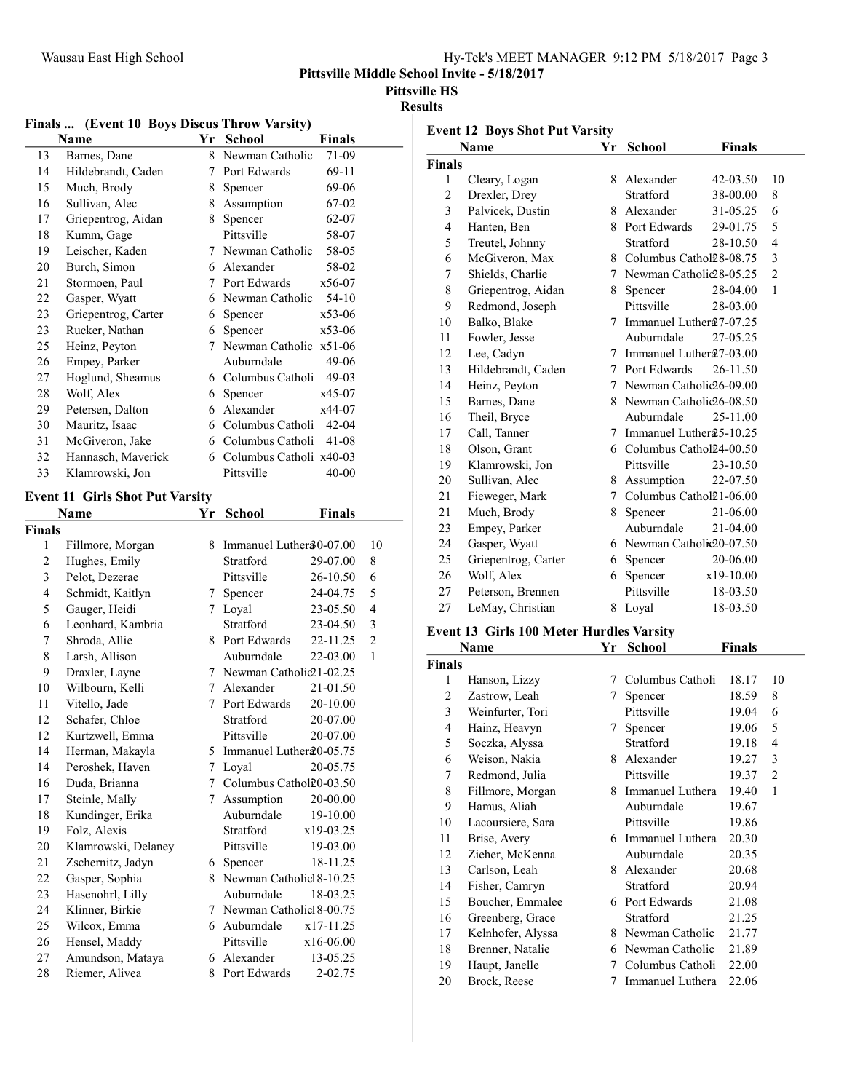| Hy-Tek's MEET MANAGER 9:12 PM 5/18/2017 Page 3 |  |
|------------------------------------------------|--|
|------------------------------------------------|--|

Pittsville Middle School Invite - 5/18/2017

#### Pittsville HS

#### Results

|                | Finals  (Event 10 Boys Discus Throw Varsity) |                 |                           |               |                          |
|----------------|----------------------------------------------|-----------------|---------------------------|---------------|--------------------------|
|                | Name                                         |                 | Yr School                 | <b>Finals</b> |                          |
| 13             | Barnes, Dane                                 | 8               | Newman Catholic           | 71-09         |                          |
| 14             | Hildebrandt, Caden                           | $\tau$          | Port Edwards              | 69-11         |                          |
| 15             | Much, Brody                                  | 8               | Spencer                   | 69-06         |                          |
| 16             | Sullivan, Alec                               | 8               | Assumption                | 67-02         |                          |
| 17             | Griepentrog, Aidan                           | 8               | Spencer                   | 62-07         |                          |
| 18             | Kumm, Gage                                   |                 | Pittsville                | 58-07         |                          |
| 19             | Leischer, Kaden                              | 7               | Newman Catholic           | 58-05         |                          |
| 20             | Burch, Simon                                 |                 | 6 Alexander               | 58-02         |                          |
| 21             | Stormoen, Paul                               | 7               | Port Edwards              | x56-07        |                          |
| 22             | Gasper, Wyatt                                | 6               | Newman Catholic           | $54-10$       |                          |
| 23             | Griepentrog, Carter                          | 6               | Spencer                   | x53-06        |                          |
| 23             | Rucker, Nathan                               | 6               | Spencer                   | x53-06        |                          |
| 25             | Heinz, Peyton                                | 7               | Newman Catholic x51-06    |               |                          |
| 26             | Empey, Parker                                |                 | Auburndale                | 49-06         |                          |
| 27             | Hoglund, Sheamus                             | 6               | Columbus Catholi          | 49-03         |                          |
| 28             | Wolf, Alex                                   | 6               | Spencer                   | x45-07        |                          |
| 29             | Petersen, Dalton                             | 6               | Alexander                 | x44-07        |                          |
| 30             | Mauritz, Isaac                               | 6               | Columbus Catholi          | $42 - 04$     |                          |
| 31             | McGiveron, Jake                              | 6               | Columbus Catholi          | 41-08         |                          |
| 32             | Hannasch, Maverick                           | 6               | Columbus Catholi x40-03   |               |                          |
| 33             | Klamrowski, Jon                              |                 | Pittsville                | $40 - 00$     |                          |
|                | <b>Event 11 Girls Shot Put Varsity</b>       |                 |                           |               |                          |
|                | Name                                         | Yr              | <b>School</b>             | Finals        |                          |
| Finals         |                                              |                 |                           |               |                          |
| 1              | Fillmore, Morgan                             |                 | 8 Immanuel Luther30-07.00 |               | 10                       |
| $\overline{c}$ | Hughes, Emily                                |                 | Stratford                 | 29-07.00      | 8                        |
| 3              | Pelot, Dezerae                               |                 | Pittsville                | 26-10.50      | 6                        |
| 4              | Schmidt, Kaitlyn                             | $7\overline{ }$ | Spencer                   | 24-04.75      | 5                        |
| 5              | Gauger, Heidi                                |                 | 7 Loyal                   | 23-05.50      | $\overline{\mathcal{L}}$ |
| 6              | Leonhard, Kambria                            |                 | Stratford                 | 23-04.50      | 3                        |
| 7              | Shroda, Allie                                | 8               | Port Edwards              | 22-11.25      | $\overline{2}$           |
| 8              | Larsh, Allison                               |                 | Auburndale                | 22-03.00      | 1                        |
| 9              | Draxler, Layne                               |                 | 7 Newman Catholic21-02.25 |               |                          |
| 10             | Wilbourn, Kelli                              |                 | 7 Alexander               | 21-01.50      |                          |
| 11             | Vitello, Jade                                |                 | 7 Port Edwards            | 20-10.00      |                          |
| 12             | Schafer, Chloe                               |                 | Stratford                 | 20-07.00      |                          |
| 12             | Kurtzwell, Emma                              |                 | Pittsville                | 20-07.00      |                          |
| 14             | Herman, Makayla                              | 5               | Immanuel Luther20-05.75   |               |                          |
| 14             | Peroshek, Haven                              | 7               | Loyal                     | 20-05.75      |                          |

| 12 | Kurtzwell, Emma     |    | Pittsville                | 20-07.00    |
|----|---------------------|----|---------------------------|-------------|
| 14 | Herman, Makayla     | 5. | Immanuel Luther 20-05.75  |             |
| 14 | Peroshek, Haven     | 7  | Loval                     | 20-05.75    |
| 16 | Duda, Brianna       | 7  | Columbus Cathol 20-03.50  |             |
| 17 | Steinle, Mally      | 7  | Assumption                | 20-00.00    |
| 18 | Kundinger, Erika    |    | Auburndale                | 19-10.00    |
| 19 | Folz, Alexis        |    | Stratford                 | $x19-03.25$ |
| 20 | Klamrowski, Delaney |    | Pittsville                | 19-03.00    |
| 21 | Zschernitz, Jadyn   | 6  | Spencer                   | 18-11.25    |
| 22 | Gasper, Sophia      | 8  | Newman Catholic 8-10.25   |             |
| 23 | Hasenohrl, Lilly    |    | Auburndale                | 18-03.25    |
| 24 | Klinner, Birkie     |    | 7 Newman Catholic 8-00.75 |             |
| 25 | Wilcox, Emma        | 6  | Auburndale                | $x17-11.25$ |
| 26 | Hensel, Maddy       |    | Pittsville                | $x16-06.00$ |
| 27 | Amundson, Mataya    | 6  | Alexander                 | 13-05.25    |
| 28 | Riemer, Alivea      | 8  | Port Edwards              | $2 - 02.75$ |

| <b>Event 12 Boys Shot Put Varsity</b> |                                          |    |                            |               |                |
|---------------------------------------|------------------------------------------|----|----------------------------|---------------|----------------|
|                                       | <b>Name</b>                              | Yr | <b>School</b>              | <b>Finals</b> |                |
| <b>Finals</b>                         |                                          |    |                            |               |                |
| 1                                     | Cleary, Logan                            |    | 8 Alexander                | 42-03.50      | 10             |
| 2                                     | Drexler, Drey                            |    | Stratford                  | 38-00.00      | 8              |
| 3                                     | Palvicek, Dustin                         |    | 8 Alexander                | 31-05.25      | 6              |
| 4                                     | Hanten, Ben                              |    | 8 Port Edwards             | 29-01.75      | 5              |
| 5                                     | Treutel, Johnny                          |    | Stratford                  | 28-10.50      | 4              |
| 6                                     | McGiveron, Max                           |    | 8 Columbus Cathol28-08.75  |               | 3              |
| 7                                     | Shields, Charlie                         | 7  | Newman Catholic 28-05.25   |               | $\overline{c}$ |
| 8                                     | Griepentrog, Aidan                       | 8  | Spencer                    | 28-04.00      | 1              |
| 9                                     | Redmond, Joseph                          |    | Pittsville                 | 28-03.00      |                |
| 10                                    | Balko, Blake                             | 7  | Immanuel Luther 27-07.25   |               |                |
| 11                                    | Fowler, Jesse                            |    | Auburndale                 | 27-05.25      |                |
| 12                                    | Lee, Cadyn                               |    | 7 Immanuel Luther 27-03.00 |               |                |
| 13                                    | Hildebrandt, Caden                       |    | 7 Port Edwards             | 26-11.50      |                |
| 14                                    | Heinz, Peyton                            |    | 7 Newman Catholic 26-09.00 |               |                |
| 15                                    | Barnes, Dane                             |    | 8 Newman Catholic 26-08.50 |               |                |
| 16                                    | Theil, Bryce                             |    | Auburndale                 | 25-11.00      |                |
| 17                                    | Call, Tanner                             |    | 7 Immanuel Luther 25-10.25 |               |                |
| 18                                    | Olson, Grant                             |    | 6 Columbus Cathol24-00.50  |               |                |
| 19                                    | Klamrowski, Jon                          |    | Pittsville                 | 23-10.50      |                |
| 20                                    | Sullivan, Alec                           |    | 8 Assumption               | 22-07.50      |                |
| 21                                    | Fieweger, Mark                           | 7  | Columbus Cathol21-06.00    |               |                |
| 21                                    | Much, Brody                              | 8  | Spencer                    | 21-06.00      |                |
| 23                                    | Empey, Parker                            |    | Auburndale                 | 21-04.00      |                |
| 24                                    | Gasper, Wyatt                            |    | 6 Newman Catholic20-07.50  |               |                |
| 25                                    | Griepentrog, Carter                      |    | 6 Spencer                  | 20-06.00      |                |
| 26                                    | Wolf, Alex                               | 6  | Spencer                    | x19-10.00     |                |
| 27                                    | Peterson, Brennen                        |    | Pittsville                 | 18-03.50      |                |
| 27                                    | LeMay, Christian                         | 8  | Loyal                      | 18-03.50      |                |
|                                       |                                          |    |                            |               |                |
|                                       | Event 13 Girls 100 Meter Hurdles Varsity |    |                            |               |                |
|                                       | Name                                     | Yr | <b>School</b>              | <b>Finals</b> |                |
| <b>Finals</b><br>1                    |                                          | 7  | Columbus Catholi           |               | 10             |
| 2                                     | Hanson, Lizzy                            |    |                            | 18.17         |                |
| 3                                     | Zastrow, Leah                            | 7  | Spencer<br>Pittsville      | 18.59         | 8              |
|                                       | Weinfurter, Tori                         |    |                            | 19.04         | 6              |
| 4                                     | Hainz, Heavyn                            | 7  | Spencer                    | 19.06         | 5              |
| 5                                     | Soczka, Alyssa                           |    | Stratford                  | 19.18         | 4              |
| 6                                     | Weison, Nakia                            | 8. | Alexander                  | 19.27         | 3              |
| 7                                     | Redmond, Julia                           |    | Pittsville                 | 19.37         | $\mathfrak{2}$ |
| 8                                     | Fillmore, Morgan                         | 8. | Immanuel Luthera           | 19.40         | $\mathbf{1}$   |
| 9                                     | Hamus, Aliah                             |    | Auburndale                 | 19.67         |                |
| 10                                    | Lacoursiere, Sara                        |    | Pittsville                 | 19.86         |                |
| 11                                    | Brise, Avery                             |    | 6 Immanuel Luthera         | 20.30         |                |
| 12                                    | Zieher, McKenna                          |    | Auburndale                 | 20.35         |                |

13 Carlson, Leah 8 Alexander 20.68 14 20.94 Fisher, Camryn Stratford 15 Boucher, Emmalee 6 Port Edwards 21.08 16 21.25 Greenberg, Grace Stratford 17 Kelnhofer, Alyssa 8 Newman Catholic 21.77 18 Brenner, Natalie 6 Newman Catholic 21.89 19 Haupt, Janelle 7 Columbus Catholi 22.00<br>20 Brock, Reese 7 Immanuel Luthera 22.06 Brock, Reese 7 Immanuel Luthera 22.06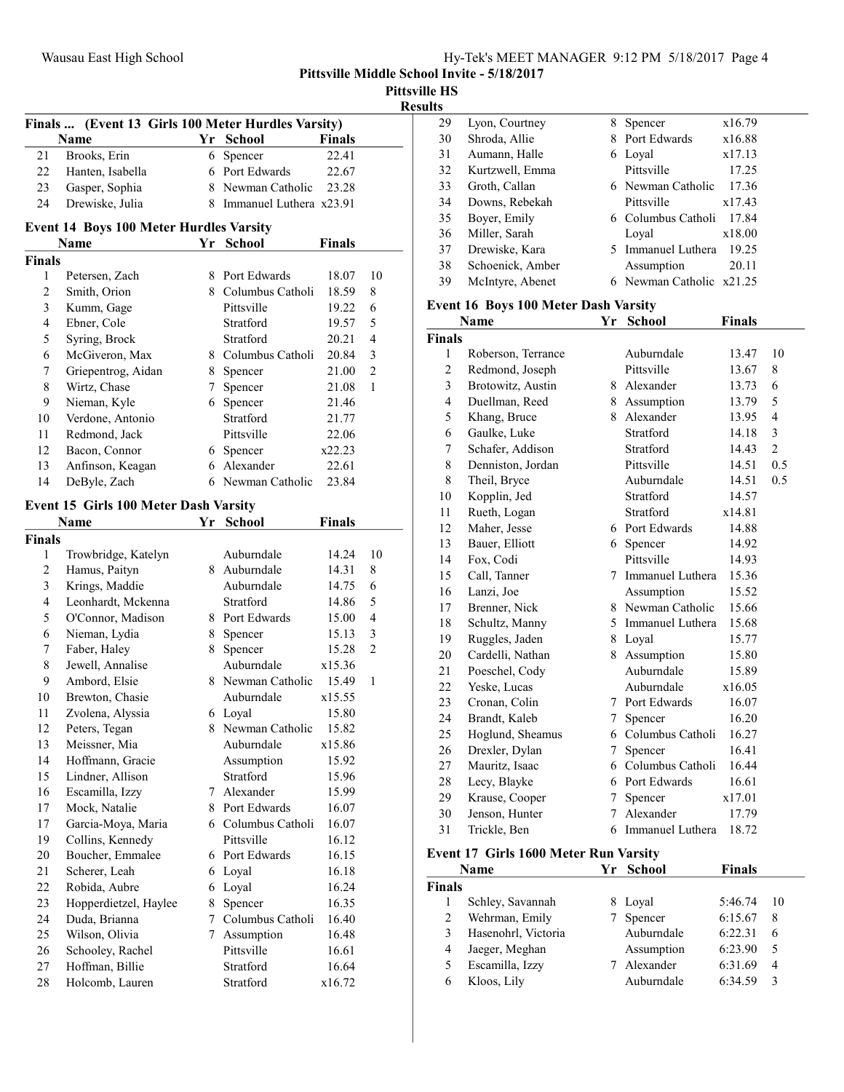| <b>Pittsville HS</b> |
|----------------------|
| <b>Results</b>       |

| <b>Finals</b>  | (Event 13 Girls 100 Meter Hurdles Varsity)     |    |                           |               |                |
|----------------|------------------------------------------------|----|---------------------------|---------------|----------------|
|                | Name                                           |    | Yr School                 | <b>Finals</b> |                |
| 21             | Brooks, Erin                                   | 6  | Spencer                   | 22.41         |                |
| 22             | Hanten, Isabella                               |    | 6 Port Edwards            | 22.67         |                |
| 23             | Gasper, Sophia                                 |    | 8 Newman Catholic         | 23.28         |                |
| 24             | Drewiske, Julia                                |    | 8 Immanuel Luthera x23.91 |               |                |
|                | <b>Event 14 Boys 100 Meter Hurdles Varsity</b> |    |                           |               |                |
|                | Name                                           |    | Yr School                 | <b>Finals</b> |                |
| <b>Finals</b>  |                                                |    |                           |               |                |
| 1              | Petersen, Zach                                 |    | 8 Port Edwards            | 18.07         | 10             |
| 2              | Smith, Orion                                   |    | 8 Columbus Catholi        | 18.59         | 8              |
| 3              | Kumm, Gage                                     |    | Pittsville                | 19.22         | 6              |
| $\overline{4}$ | Ebner, Cole                                    |    | Stratford                 | 19.57         | 5              |
| 5              | Syring, Brock                                  |    | Stratford                 | 20.21         | 4              |
| 6              | McGiveron, Max                                 |    | 8 Columbus Catholi        | 20.84         | 3              |
| 7              | Griepentrog, Aidan                             |    | 8 Spencer                 | 21.00         | $\overline{2}$ |
| 8              | Wirtz, Chase                                   |    | 7 Spencer                 | 21.08         | 1              |
| 9              | Nieman, Kyle                                   |    | 6 Spencer                 | 21.46         |                |
| 10             | Verdone, Antonio                               |    | Stratford                 | 21.77         |                |
| 11             | Redmond, Jack                                  |    | Pittsville                | 22.06         |                |
| 12             | Bacon, Connor                                  |    | 6 Spencer                 | x22.23        |                |
| 13             | Anfinson, Keagan                               | 6  | Alexander                 | 22.61         |                |
| 14             | DeByle, Zach                                   |    | 6 Newman Catholic         | 23.84         |                |
|                |                                                |    |                           |               |                |
|                | <b>Event 15 Girls 100 Meter Dash Varsity</b>   |    |                           |               |                |
|                | Name                                           | Υr | <b>School</b>             | <b>Finals</b> |                |
| <b>Finals</b>  |                                                |    |                           |               |                |
| 1              | Trowbridge, Katelyn                            |    | Auburndale                | 14.24         | 10             |
| $\overline{c}$ | Hamus, Paityn                                  |    | 8 Auburndale              | 14.31         | 8              |
| 3              | Krings, Maddie                                 |    | Auburndale                | 14.75         | 6              |
| 4              | Leonhardt, Mckenna                             |    | Stratford                 | 14.86         | 5              |
| 5              | O'Connor, Madison                              |    | 8 Port Edwards            | 15.00         | 4              |
| 6              | Nieman, Lydia                                  |    | 8 Spencer                 | 15.13         | 3              |
| 7              | Faber, Haley                                   |    | 8 Spencer                 | 15.28         | 2              |
| 8              | Jewell, Annalise                               |    | Auburndale                | x15.36        |                |
| 9              | Ambord, Elsie                                  |    | 8 Newman Catholic         | 15.49         | 1              |
| 10             | Brewton, Chasie                                |    | Auburndale                | x15.55        |                |
| 11             | Zvolena, Alyssia                               |    | 6 Loyal                   | 15.80         |                |
| 12             | Peters, Tegan                                  | 8. | Newman Catholic           | 15.82         |                |
| 13             | Meissner, Mia                                  |    | Auburndale                | x15.86        |                |
| 14             | Hoffmann, Gracie                               |    | Assumption                | 15.92         |                |
| 15             | Lindner, Allison                               |    | Stratford                 | 15.96         |                |
| 16             | Escamilla, Izzy                                |    | 7 Alexander               | 15.99         |                |
| 17             | Mock, Natalie                                  |    | 8 Port Edwards            | 16.07         |                |
| 17             | Garcia-Moya, Maria                             |    | 6 Columbus Catholi        | 16.07         |                |
| 19             | Collins, Kennedy                               |    | Pittsville                | 16.12         |                |
| 20             | Boucher, Emmalee                               |    | 6 Port Edwards            |               |                |
|                |                                                |    |                           | 16.15         |                |
| 21             | Scherer, Leah                                  | 6  | Loyal                     | 16.18         |                |

23 Hopperdietzel, Haylee 8 Spencer 16.35<br>24 Duda, Brianna 7 Columbus Catholi 16.40 Puda, Brianna 7 Columbus Catholi 16.40<br>Wilson, Olivia 7 Assumption 16.48 25 Wilson, Olivia 7 Assumption 16.48<br>26 Schooley, Rachel Pittsville 16.61 26 Schooley, Rachel Pittsville 16.61<br>27 Hoffman, Billie Stratford 16.64 27 16.64 Hoffman, Billie Stratford 28 x16.72 Holcomb, Lauren Stratford

| IES |                  |    |                        |        |
|-----|------------------|----|------------------------|--------|
| 29  | Lyon, Courtney   | 8  | Spencer                | x16.79 |
| 30  | Shroda, Allie    | 8. | Port Edwards           | x16.88 |
| 31  | Aumann, Halle    | 6  | Loyal                  | x17.13 |
| 32  | Kurtzwell, Emma  |    | Pittsville             | 17.25  |
| 33  | Groth, Callan    |    | 6 Newman Catholic      | 17.36  |
| 34  | Downs, Rebekah   |    | Pittsville             | x17.43 |
| 35  | Boyer, Emily     |    | 6 Columbus Catholi     | 17.84  |
| 36  | Miller, Sarah    |    | Loyal                  | x18.00 |
| 37  | Drewiske, Kara   | 5. | Immanuel Luthera       | 19.25  |
| 38  | Schoenick, Amber |    | Assumption             | 20.11  |
| 39  | McIntyre, Abenet |    | Newman Catholic x21.25 |        |
|     |                  |    |                        |        |

#### Event 16 Boys 100 Meter Dash Varsity

|                | <b>Name</b>        | Yr | <b>School</b>           | <b>Finals</b> |                |
|----------------|--------------------|----|-------------------------|---------------|----------------|
| Finals         |                    |    |                         |               |                |
| 1              | Roberson, Terrance |    | Auburndale              | 13.47         | 10             |
| $\overline{2}$ | Redmond, Joseph    |    | Pittsville              | 13.67         | 8              |
| 3              | Brotowitz, Austin  |    | 8 Alexander             | 13.73         | 6              |
| $\overline{4}$ | Duellman, Reed     |    | 8 Assumption            | 13.79         | 5              |
| 5              | Khang, Bruce       |    | 8 Alexander             | 13.95         | $\overline{4}$ |
| 6              | Gaulke, Luke       |    | Stratford               | 14.18         | 3              |
| 7              | Schafer, Addison   |    | Stratford               | 14.43         | $\overline{2}$ |
| 8              | Denniston, Jordan  |    | Pittsville              | 14.51         | 0.5            |
| 8              | Theil, Bryce       |    | Auburndale              | 14.51         | 0.5            |
| 10             | Kopplin, Jed       |    | Stratford               | 14.57         |                |
| 11             | Rueth, Logan       |    | Stratford               | x14.81        |                |
| 12             | Maher, Jesse       |    | 6 Port Edwards          | 14.88         |                |
| 13             | Bauer, Elliott     |    | 6 Spencer               | 14.92         |                |
| 14             | Fox, Codi          |    | Pittsville              | 14.93         |                |
| 15             | Call, Tanner       | 7  | <b>Immanuel Luthera</b> | 15.36         |                |
| 16             | Lanzi, Joe         |    | Assumption              | 15.52         |                |
| 17             | Brenner, Nick      |    | 8 Newman Catholic       | 15.66         |                |
| 18             | Schultz, Manny     |    | 5 Immanuel Luthera      | 15.68         |                |
| 19             | Ruggles, Jaden     | 8  | Loyal                   | 15.77         |                |
| 20             | Cardelli, Nathan   | 8  | Assumption              | 15.80         |                |
| 21             | Poeschel, Cody     |    | Auburndale              | 15.89         |                |
| 22             | Yeske, Lucas       |    | Auburndale              | x16.05        |                |
| 23             | Cronan, Colin      |    | 7 Port Edwards          | 16.07         |                |
| 24             | Brandt, Kaleb      | 7  | Spencer                 | 16.20         |                |
| 25             | Hoglund, Sheamus   |    | 6 Columbus Catholi      | 16.27         |                |
| 26             | Drexler, Dylan     | 7  | Spencer                 | 16.41         |                |
| 27             | Mauritz, Isaac     | 6  | Columbus Catholi        | 16.44         |                |
| 28             | Lecy, Blayke       |    | 6 Port Edwards          | 16.61         |                |
| 29             | Krause, Cooper     | 7  | Spencer                 | x17.01        |                |
| 30             | Jenson, Hunter     | 7  | Alexander               | 17.79         |                |
| 31             | Trickle, Ben       | 6  | <b>Immanuel Luthera</b> | 18.72         |                |

#### Event 17 Girls 1600 Meter Run Varsity

|        | Name                |   | Yr School  | <b>Finals</b> |     |
|--------|---------------------|---|------------|---------------|-----|
| Finals |                     |   |            |               |     |
|        | Schley, Savannah    | 8 | Loyal      | 5:46.74       | -10 |
|        | Wehrman, Emily      |   | Spencer    | 6:15.67       | 8   |
|        | Hasenohrl, Victoria |   | Auburndale | 6:22.31       | 6   |
| 4      | Jaeger, Meghan      |   | Assumption | 6:23.90       | 5   |
|        | Escamilla, Izzy     |   | Alexander  | 6:31.69       | 4   |
|        | Kloos, Lily         |   | Auburndale | 6:34.59       | 3   |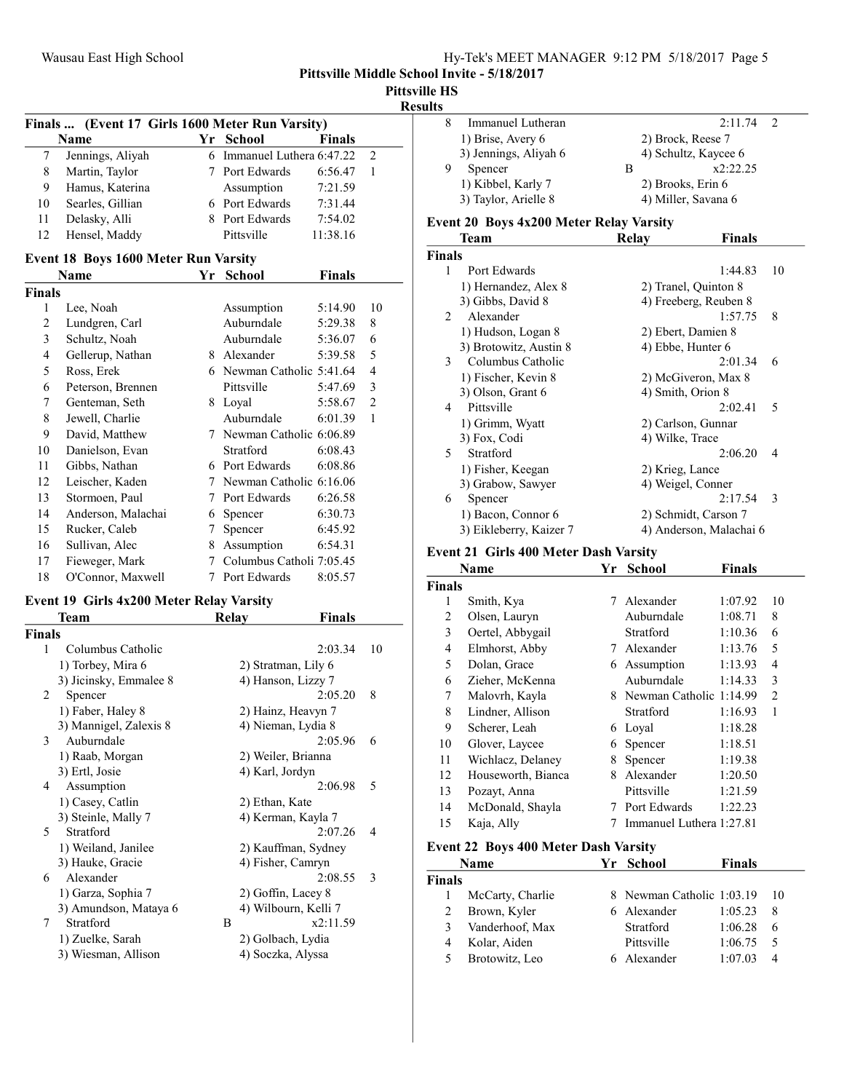Pittsville HS

Results

|                | Finals  (Event 17 Girls 1600 Meter Run Varsity) |        |                           |               |                |
|----------------|-------------------------------------------------|--------|---------------------------|---------------|----------------|
|                | Name                                            |        | Yr School                 | <b>Finals</b> |                |
| 7              | Jennings, Aliyah                                | 6      | Immanuel Luthera 6:47.22  |               | $\overline{c}$ |
| 8              | Martin, Taylor                                  | 7      | Port Edwards              | 6:56.47       | $\mathbf{1}$   |
| 9              | Hamus, Katerina                                 |        | Assumption                | 7:21.59       |                |
| 10             | Searles, Gillian                                |        | 6 Port Edwards            | 7:31.44       |                |
| 11             | Delasky, Alli                                   | 8      | Port Edwards              | 7:54.02       |                |
| 12             | Hensel, Maddy                                   |        | Pittsville                | 11:38.16      |                |
|                | <b>Event 18 Boys 1600 Meter Run Varsity</b>     |        |                           |               |                |
|                | Name                                            | Yr     | <b>School</b>             | <b>Finals</b> |                |
| Finals         |                                                 |        |                           |               |                |
| 1              | Lee, Noah                                       |        | Assumption                | 5:14.90       | 10             |
| $\overline{2}$ | Lundgren, Carl                                  |        | Auburndale                | 5:29.38       | 8              |
| 3              | Schultz, Noah                                   |        | Auburndale                | 5:36.07       | 6              |
| 4              | Gellerup, Nathan                                |        | 8 Alexander               | 5:39.58       | 5              |
| 5              | Ross, Erek                                      |        | 6 Newman Catholic 5:41.64 |               | $\overline{4}$ |
| 6              | Peterson, Brennen                               |        | Pittsville                | 5:47.69       | 3              |
| 7              | Genteman, Seth                                  |        | 8 Loyal                   | 5:58.67       | $\overline{2}$ |
| 8              | Jewell, Charlie                                 |        | Auburndale                | 6:01.39       | $\mathbf{1}$   |
| 9              | David, Matthew                                  | 7      | Newman Catholic 6:06.89   |               |                |
| 10             | Danielson, Evan                                 |        | Stratford                 | 6:08.43       |                |
| 11             | Gibbs, Nathan                                   |        | 6 Port Edwards            | 6:08.86       |                |
| 12             | Leischer, Kaden                                 | 7      | Newman Catholic 6:16.06   |               |                |
| 13             | Stormoen, Paul                                  | 7      | Port Edwards              | 6:26.58       |                |
| 14             | Anderson, Malachai                              | 6      | Spencer                   | 6:30.73       |                |
| 15             | Rucker, Caleb                                   | 7      | Spencer                   | 6:45.92       |                |
| 16             | Sullivan, Alec                                  | 8      | Assumption                | 6:54.31       |                |
| 17             | Fieweger, Mark                                  | $\tau$ | Columbus Catholi 7:05.45  |               |                |

#### Event 19 Girls 4x200 Meter Relay Varsity

18 O'Connor, Maxwell 7 Port Edwards 8:05.57

|               | <b>Team</b>            | Relav          | <b>Finals</b>        |    |
|---------------|------------------------|----------------|----------------------|----|
| <b>Finals</b> |                        |                |                      |    |
| 1             | Columbus Catholic      |                | 2:03.34              | 10 |
|               | 1) Torbey, Mira 6      |                | 2) Stratman, Lily 6  |    |
|               | 3) Jicinsky, Emmalee 8 |                | 4) Hanson, Lizzy 7   |    |
| 2             | Spencer                |                | 2:05.20              | 8  |
|               | 1) Faber, Haley 8      |                | 2) Hainz, Heavyn 7   |    |
|               | 3) Mannigel, Zalexis 8 |                | 4) Nieman, Lydia 8   |    |
| 3             | Auburndale             |                | 2:05.96              | 6  |
|               | 1) Raab, Morgan        |                | 2) Weiler, Brianna   |    |
|               | 3) Ertl, Josie         |                | 4) Karl, Jordyn      |    |
| 4             | Assumption             |                | 2:06.98              | 5  |
|               | 1) Casey, Catlin       | 2) Ethan, Kate |                      |    |
|               | 3) Steinle, Mally 7    |                | 4) Kerman, Kayla 7   |    |
| 5             | Stratford              |                | 2:07.26              | 4  |
|               | 1) Weiland, Janilee    |                | 2) Kauffman, Sydney  |    |
|               | 3) Hauke, Gracie       |                | 4) Fisher, Camryn    |    |
| 6             | Alexander              |                | 2:08.55              | 3  |
|               | 1) Garza, Sophia 7     |                | 2) Goffin, Lacey 8   |    |
|               | 3) Amundson, Mataya 6  |                | 4) Wilbourn, Kelli 7 |    |
| 7             | Stratford              | B              | x2:11.59             |    |
|               | 1) Zuelke, Sarah       |                | 2) Golbach, Lydia    |    |
|               | 3) Wiesman, Allison    |                | 4) Soczka, Alyssa    |    |
|               |                        |                |                      |    |

| . |                       |                      |  |
|---|-----------------------|----------------------|--|
|   | Immanuel Lutheran     | 2:11.74              |  |
|   | 1) Brise, Avery 6     | 2) Brock, Reese 7    |  |
|   | 3) Jennings, Aliyah 6 | 4) Schultz, Kaycee 6 |  |
|   | Spencer               | x2:22.25             |  |
|   | 1) Kibbel, Karly 7    | 2) Brooks, Erin 6    |  |
|   | 3) Taylor, Arielle 8  | 4) Miller, Savana 6  |  |
|   |                       |                      |  |

## Event 20 Boys 4x200 Meter Relay Varsity

|                | Team                    | Relay                | Finals                  |    |
|----------------|-------------------------|----------------------|-------------------------|----|
| <b>Finals</b>  |                         |                      |                         |    |
| 1              | Port Edwards            |                      | 1:44.83                 | 10 |
|                | 1) Hernandez, Alex 8    | 2) Tranel, Quinton 8 |                         |    |
|                | 3) Gibbs, David 8       |                      | 4) Freeberg, Reuben 8   |    |
| $\mathfrak{D}$ | Alexander               |                      | 1:57.75                 | 8  |
|                | 1) Hudson, Logan 8      | 2) Ebert, Damien 8   |                         |    |
|                | 3) Brotowitz, Austin 8  | 4) Ebbe, Hunter 6    |                         |    |
| 3              | Columbus Catholic       |                      | 2:01.34                 | 6  |
|                | 1) Fischer, Kevin 8     |                      | 2) McGiveron, Max 8     |    |
|                | 3) Olson, Grant 6       | 4) Smith, Orion 8    |                         |    |
| 4              | Pittsville              |                      | 2:02.41                 | 5  |
|                | 1) Grimm, Wyatt         | 2) Carlson, Gunnar   |                         |    |
|                | 3) Fox, Codi            | 4) Wilke, Trace      |                         |    |
| 5              | Stratford               |                      | 2:06.20                 | 4  |
|                | 1) Fisher, Keegan       | 2) Krieg, Lance      |                         |    |
|                | 3) Grabow, Sawyer       | 4) Weigel, Conner    |                         |    |
| 6              | Spencer                 |                      | 2:17.54                 | 3  |
|                | 1) Bacon, Connor 6      |                      | 2) Schmidt, Carson 7    |    |
|                | 3) Eikleberry, Kaizer 7 |                      | 4) Anderson, Malachai 6 |    |

#### Event 21 Girls 400 Meter Dash Varsity

|               | Name               | Yr | <b>School</b>            | <b>Finals</b> |                |
|---------------|--------------------|----|--------------------------|---------------|----------------|
| <b>Finals</b> |                    |    |                          |               |                |
| 1             | Smith, Kya         | 7  | Alexander                | 1:07.92       | 10             |
| 2             | Olsen, Lauryn      |    | Auburndale               | 1:08.71       | 8              |
| 3             | Oertel, Abbygail   |    | Stratford                | 1:10.36       | 6              |
| 4             | Elmhorst, Abby     | 7  | Alexander                | 1:13.76       | 5              |
| 5             | Dolan, Grace       |    | 6 Assumption             | 1:13.93       | 4              |
| 6             | Zieher, McKenna    |    | Auburndale               | 1:14.33       | 3              |
| 7             | Malovrh, Kayla     | 8. | Newman Catholic 1:14.99  |               | $\overline{c}$ |
| 8             | Lindner, Allison   |    | Stratford                | 1:16.93       | 1              |
| 9             | Scherer, Leah      | 6  | Loyal                    | 1:18.28       |                |
| 10            | Glover, Laycee     | 6  | Spencer                  | 1:18.51       |                |
| 11            | Wichlacz, Delaney  | 8  | Spencer                  | 1:19.38       |                |
| 12            | Houseworth, Bianca | 8  | Alexander                | 1:20.50       |                |
| 13            | Pozayt, Anna       |    | Pittsville               | 1:21.59       |                |
| 14            | McDonald, Shayla   | 7  | Port Edwards             | 1:22.23       |                |
| 15            | Kaja, Ally         |    | Immanuel Luthera 1:27.81 |               |                |

#### Event 22 Boys 400 Meter Dash Varsity

|               | Name             | Yr School                    | <b>Finals</b> |    |
|---------------|------------------|------------------------------|---------------|----|
| <b>Finals</b> |                  |                              |               |    |
|               | McCarty, Charlie | 8 Newman Catholic 1:03.19 10 |               |    |
| 2             | Brown, Kyler     | 6 Alexander                  | 1:05.23       |    |
| 3             | Vanderhoof, Max  | Stratford                    | 1:06.28       | 6  |
| 4             | Kolar, Aiden     | Pittsville                   | 1:06.75       | -5 |
| 5             | Brotowitz, Leo   | 6 Alexander                  | 1:07.03       |    |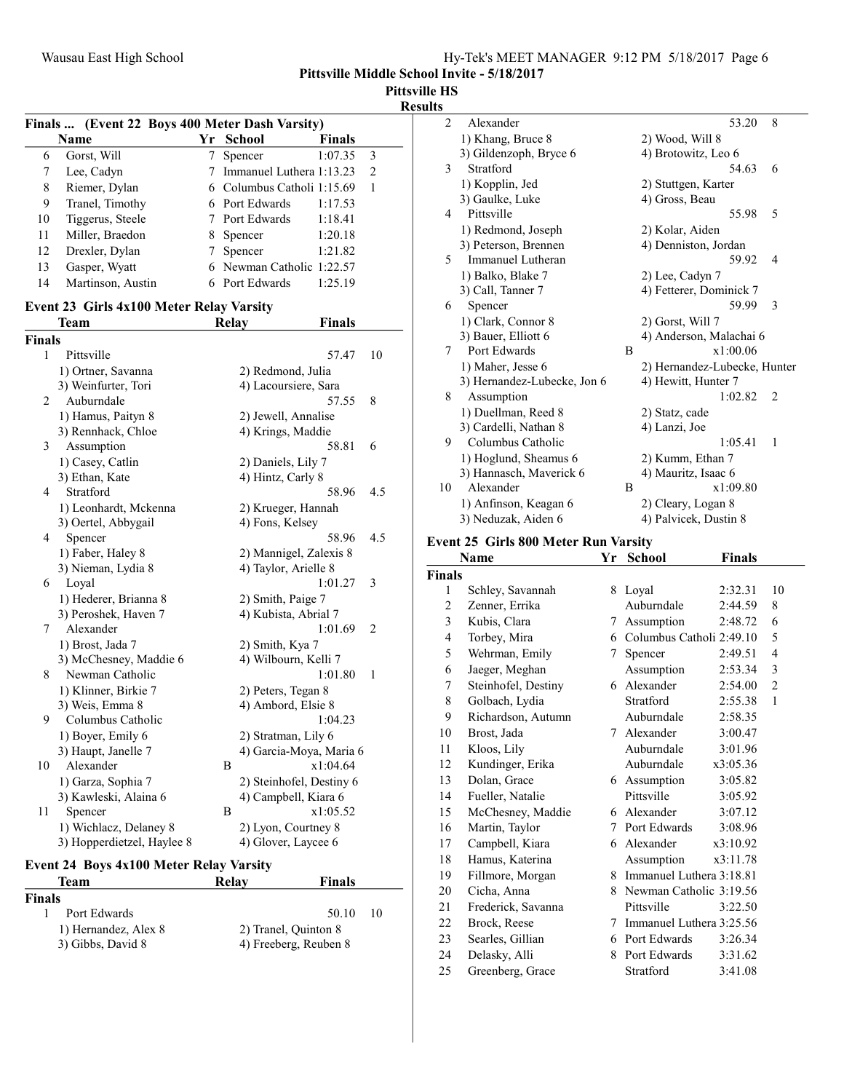Pittsville Middle School Invite - 5/18/2017

Pittsville HS

Results

|    |                   |   | Finals  (Event 22 Boys 400 Meter Dash Varsity) |               |               |
|----|-------------------|---|------------------------------------------------|---------------|---------------|
|    | <b>Name</b>       |   | Yr School                                      | <b>Finals</b> |               |
| 6  | Gorst, Will       |   | Spencer                                        | 1:07.35       | 3             |
|    | Lee, Cadyn        |   | 7 Immanuel Luthera 1:13.23                     |               | $\mathcal{L}$ |
| 8  | Riemer, Dylan     |   | 6 Columbus Catholi 1:15.69                     |               |               |
| 9  | Tranel, Timothy   |   | 6 Port Edwards                                 | 1:17.53       |               |
| 10 | Tiggerus, Steele  |   | 7 Port Edwards                                 | 1:18.41       |               |
| 11 | Miller, Braedon   | 8 | Spencer                                        | 1:20.18       |               |
| 12 | Drexler, Dylan    |   | Spencer                                        | 1:21.82       |               |
| 13 | Gasper, Wyatt     |   | 6 Newman Catholic 1:22.57                      |               |               |
| 14 | Martinson, Austin |   | 6 Port Edwards                                 | 1:25.19       |               |

# Event 23 Girls 4x100 Meter Relay Varsity

|               | Team                       | <b>Relay</b> | <b>Finals</b>                    |                |
|---------------|----------------------------|--------------|----------------------------------|----------------|
| <b>Finals</b> |                            |              |                                  |                |
| 1             | Pittsville                 |              | 57.47                            | 10             |
|               | 1) Ortner, Savanna         |              | 2) Redmond, Julia                |                |
|               | 3) Weinfurter, Tori        |              | 4) Lacoursiere, Sara             |                |
| 2             | Auburndale                 |              | 57.55                            | 8              |
|               | 1) Hamus, Paityn 8         |              | 2) Jewell, Annalise              |                |
|               | 3) Rennhack, Chloe         |              | 4) Krings, Maddie                |                |
| 3             | Assumption                 |              | 58.81                            | 6              |
|               | 1) Casey, Catlin           |              | 2) Daniels, Lily 7               |                |
|               | 3) Ethan, Kate             |              | 4) Hintz, Carly 8                |                |
| 4             | Stratford                  |              | 58.96                            | 4.5            |
|               | 1) Leonhardt, Mckenna      |              | 2) Krueger, Hannah               |                |
|               | 3) Oertel, Abbygail        |              | 4) Fons, Kelsey                  |                |
| 4             | Spencer                    |              | 58.96                            | 4.5            |
|               | 1) Faber, Haley 8          |              | 2) Mannigel, Zalexis 8           |                |
|               | 3) Nieman, Lydia 8         |              | 4) Taylor, Arielle 8             |                |
| 6             | Loyal                      |              | 1:01.27                          | 3              |
|               | 1) Hederer, Brianna 8      |              | 2) Smith, Paige 7                |                |
|               | 3) Peroshek, Haven 7       |              | 4) Kubista, Abrial 7             |                |
| 7             | Alexander                  |              | 1:01.69                          | $\overline{2}$ |
|               | 1) Brost, Jada 7           |              | 2) Smith, Kya 7                  |                |
|               | 3) McChesney, Maddie 6     |              | 4) Wilbourn, Kelli 7             |                |
| 8             | Newman Catholic            |              | 1:01.80                          | 1              |
|               | 1) Klinner, Birkie 7       |              | 2) Peters, Tegan 8               |                |
|               | 3) Weis, Emma 8            |              | 4) Ambord, Elsie 8               |                |
| 9             | Columbus Catholic          |              | 1:04.23                          |                |
|               | 1) Boyer, Emily 6          |              | 2) Stratman, Lily 6              |                |
|               | 3) Haupt, Janelle 7        |              | 4) Garcia-Moya, Maria 6          |                |
| 10            | Alexander                  | B            | x1:04.64                         |                |
|               | 1) Garza, Sophia 7         |              | 2) Steinhofel, Destiny 6         |                |
| 11            | 3) Kawleski, Alaina 6      | B            | 4) Campbell, Kiara 6<br>x1:05.52 |                |
|               | Spencer                    |              |                                  |                |
|               | 1) Wichlacz, Delaney 8     |              | 2) Lyon, Courtney 8              |                |
|               | 3) Hopperdietzel, Haylee 8 |              | 4) Glover, Laycee 6              |                |

#### Event 24 Boys 4x100 Meter Relay Varsity Team Relay Finals

| <b>Finals</b>        |                       |    |
|----------------------|-----------------------|----|
| Port Edwards         | 50.10                 | 10 |
| 1) Hernandez, Alex 8 | 2) Tranel, Quinton 8  |    |
| 3) Gibbs, David 8    | 4) Freeberg, Reuben 8 |    |

| $\overline{2}$ | Alexander                   |   | 8<br>53.20                   |
|----------------|-----------------------------|---|------------------------------|
|                | 1) Khang, Bruce 8           |   | 2) Wood, Will 8              |
|                | 3) Gildenzoph, Bryce 6      |   | 4) Brotowitz, Leo 6          |
| 3              | Stratford                   |   | 54.63<br>6                   |
|                | 1) Kopplin, Jed             |   | 2) Stuttgen, Karter          |
|                | 3) Gaulke, Luke             |   | 4) Gross, Beau               |
| 4              | Pittsville                  |   | 5<br>55.98                   |
|                | 1) Redmond, Joseph          |   | 2) Kolar, Aiden              |
|                | 3) Peterson, Brennen        |   | 4) Denniston, Jordan         |
| 5              | Immanuel Lutheran           |   | 59.92<br>4                   |
|                | 1) Balko, Blake 7           |   | 2) Lee, Cadyn 7              |
|                | 3) Call, Tanner 7           |   | 4) Fetterer, Dominick 7      |
| 6              | Spencer                     |   | 59.99<br>3                   |
|                | 1) Clark, Connor 8          |   | 2) Gorst, Will 7             |
|                | 3) Bauer, Elliott 6         |   | 4) Anderson, Malachai 6      |
| 7              | Port Edwards                | B | x1:00.06                     |
|                | 1) Maher, Jesse 6           |   | 2) Hernandez-Lubecke, Hunter |
|                | 3) Hernandez-Lubecke, Jon 6 |   | 4) Hewitt, Hunter 7          |
| 8              | Assumption                  |   | 1:02.82<br>$\mathcal{L}$     |
|                | 1) Duellman, Reed 8         |   | 2) Statz, cade               |
|                | 3) Cardelli, Nathan 8       |   | 4) Lanzi, Joe                |
| 9              | Columbus Catholic           |   | 1:05.41<br>1                 |
|                | 1) Hoglund, Sheamus 6       |   | 2) Kumm, Ethan 7             |
|                | 3) Hannasch, Maverick 6     |   | 4) Mauritz, Isaac 6          |
| 10             | Alexander                   | B | x1:09.80                     |
|                | 1) Anfinson, Keagan 6       |   | 2) Cleary, Logan 8           |
|                | 3) Neduzak, Aiden 6         |   | 4) Palvicek, Dustin 8        |

# Event 25 Girls 800 Meter Run Varsity

|                | Name                | Yr | <b>School</b>            | <b>Finals</b> |                |
|----------------|---------------------|----|--------------------------|---------------|----------------|
| <b>Finals</b>  |                     |    |                          |               |                |
| 1              | Schley, Savannah    | 8  | Loyal                    | 2:32.31       | 10             |
| $\overline{2}$ | Zenner, Errika      |    | Auburndale               | 2:44.59       | 8              |
| 3              | Kubis, Clara        | 7  | Assumption               | 2:48.72       | 6              |
| 4              | Torbey, Mira        | 6  | Columbus Catholi 2:49.10 |               | 5              |
| 5              | Wehrman, Emily      | 7  | Spencer                  | 2:49.51       | $\overline{4}$ |
| 6              | Jaeger, Meghan      |    | Assumption               | 2:53.34       | 3              |
| 7              | Steinhofel, Destiny | 6. | Alexander                | 2:54.00       | $\overline{2}$ |
| 8              | Golbach, Lydia      |    | Stratford                | 2:55.38       | 1              |
| 9              | Richardson, Autumn  |    | Auburndale               | 2:58.35       |                |
| 10             | Brost, Jada         | 7  | Alexander                | 3:00.47       |                |
| 11             | Kloos, Lily         |    | Auburndale               | 3:01.96       |                |
| 12             | Kundinger, Erika    |    | Auburndale               | x3:05.36      |                |
| 13             | Dolan, Grace        | 6  | Assumption               | 3:05.82       |                |
| 14             | Fueller, Natalie    |    | Pittsville               | 3:05.92       |                |
| 15             | McChesney, Maddie   | 6  | Alexander                | 3:07.12       |                |
| 16             | Martin, Taylor      | 7  | Port Edwards             | 3:08.96       |                |
| 17             | Campbell, Kiara     | 6  | Alexander                | x3:10.92      |                |
| 18             | Hamus, Katerina     |    | Assumption               | x3:11.78      |                |
| 19             | Fillmore, Morgan    | 8  | Immanuel Luthera 3:18.81 |               |                |
| 20             | Cicha, Anna         | 8  | Newman Catholic 3:19.56  |               |                |
| 21             | Frederick, Savanna  |    | Pittsville               | 3:22.50       |                |
| 22             | Brock, Reese        | 7  | Immanuel Luthera 3:25.56 |               |                |
| 23             | Searles, Gillian    | 6  | Port Edwards             | 3:26.34       |                |
| 24             | Delasky, Alli       | 8  | Port Edwards             | 3:31.62       |                |
| 25             | Greenberg, Grace    |    | Stratford                | 3:41.08       |                |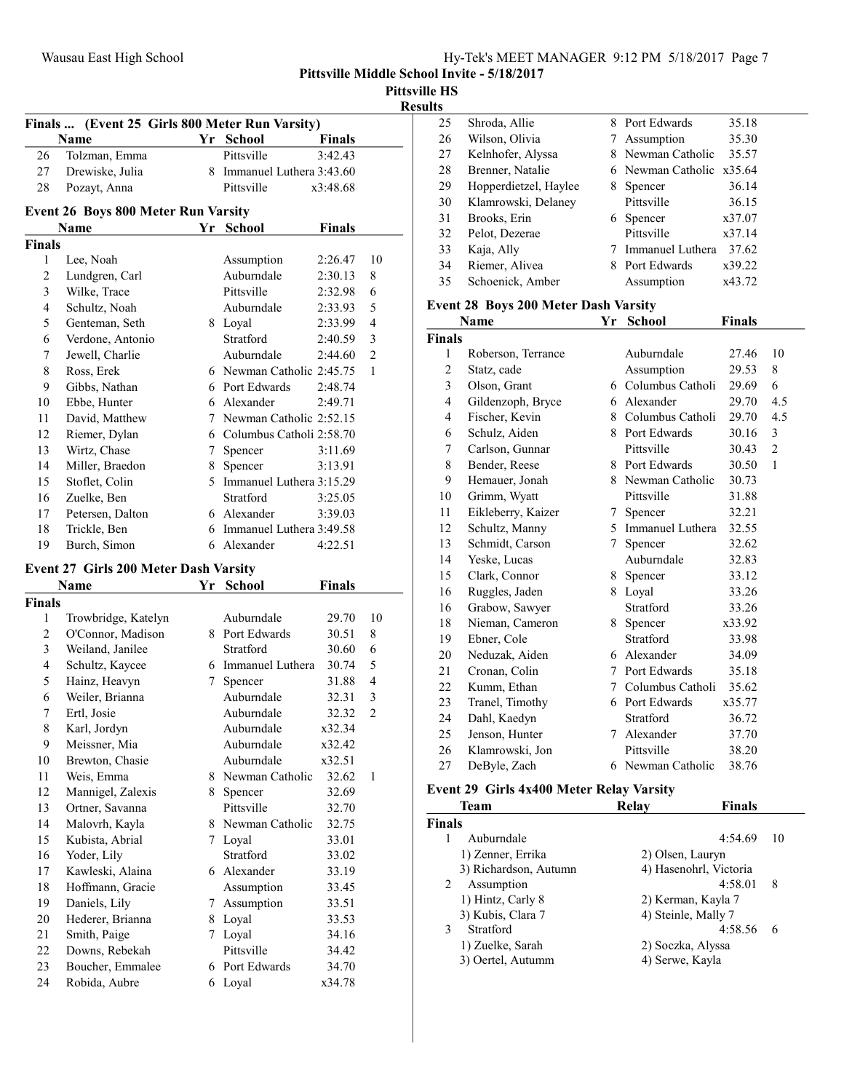| Hy-Tek's MEET MANAGER 9:12 PM 5/18/2017 Page 7 |  |
|------------------------------------------------|--|
|------------------------------------------------|--|

Results

|                | Finals  (Event 25 Girls 800 Meter Run Varsity) |                |                            |               |                |
|----------------|------------------------------------------------|----------------|----------------------------|---------------|----------------|
|                | Name                                           |                | Yr School                  | <b>Finals</b> |                |
| 26             | Tolzman, Emma                                  |                | Pittsville                 | 3:42.43       |                |
| 27             | Drewiske, Julia                                |                | 8 Immanuel Luthera 3:43.60 |               |                |
| 28             | Pozayt, Anna                                   |                | Pittsville                 | x3:48.68      |                |
|                | <b>Event 26 Boys 800 Meter Run Varsity</b>     |                |                            |               |                |
|                | Name                                           | Yr             | <b>School</b>              | <b>Finals</b> |                |
| <b>Finals</b>  |                                                |                |                            |               |                |
| 1              | Lee, Noah                                      |                | Assumption                 | 2:26.47       | 10             |
| $\overline{c}$ | Lundgren, Carl                                 |                | Auburndale                 | 2:30.13       | 8              |
| 3              | Wilke, Trace                                   |                | Pittsville                 | 2:32.98       | 6              |
| $\overline{4}$ | Schultz, Noah                                  |                | Auburndale                 | 2:33.93       | 5              |
| 5              | Genteman, Seth                                 |                | 8 Loyal                    | 2:33.99       | $\overline{4}$ |
| 6              | Verdone, Antonio                               |                | Stratford                  | 2:40.59       | 3              |
| 7              | Jewell, Charlie                                |                | Auburndale                 | 2:44.60       | $\overline{2}$ |
| 8              | Ross, Erek                                     |                | 6 Newman Catholic 2:45.75  |               | $\mathbf{1}$   |
| 9              | Gibbs, Nathan                                  |                | 6 Port Edwards             | 2:48.74       |                |
| 10             | Ebbe, Hunter                                   |                | 6 Alexander                | 2:49.71       |                |
| 11             | David, Matthew                                 |                | 7 Newman Catholic 2:52.15  |               |                |
| 12             | Riemer, Dylan                                  |                | 6 Columbus Catholi 2:58.70 |               |                |
| 13             | Wirtz, Chase                                   | 7              | Spencer                    | 3:11.69       |                |
| 14             | Miller, Braedon                                | 8              | Spencer                    | 3:13.91       |                |
| 15             | Stoflet, Colin                                 | 5 <sup>1</sup> | Immanuel Luthera 3:15.29   |               |                |
| 16             | Zuelke, Ben                                    |                | Stratford                  | 3:25.05       |                |
| 17             | Petersen, Dalton                               |                | 6 Alexander                | 3:39.03       |                |
| 18             | Trickle, Ben                                   |                | 6 Immanuel Luthera 3:49.58 |               |                |
| 19             | Burch, Simon                                   | 6              | Alexander                  | 4:22.51       |                |

#### Event 27 Girls 200 Meter Dash Varsity

|                | Name                | Yr | <b>School</b>     | Finals |                |
|----------------|---------------------|----|-------------------|--------|----------------|
| Finals         |                     |    |                   |        |                |
| 1              | Trowbridge, Katelyn |    | Auburndale        | 29.70  | 10             |
| $\overline{c}$ | O'Connor, Madison   | 8  | Port Edwards      | 30.51  | 8              |
| 3              | Weiland, Janilee    |    | Stratford         | 30.60  | 6              |
| $\overline{4}$ | Schultz, Kaycee     | 6  | Immanuel Luthera  | 30.74  | 5              |
| 5              | Hainz, Heavyn       | 7  | Spencer           | 31.88  | 4              |
| 6              | Weiler, Brianna     |    | Auburndale        | 32.31  | 3              |
| 7              | Ertl, Josie         |    | Auburndale        | 32.32  | $\overline{2}$ |
| 8              | Karl, Jordyn        |    | Auburndale        | x32.34 |                |
| 9              | Meissner, Mia       |    | Auburndale        | x32.42 |                |
| 10             | Brewton, Chasie     |    | Auburndale        | x32.51 |                |
| 11             | Weis, Emma          |    | 8 Newman Catholic | 32.62  | $\mathbf{1}$   |
| 12             | Mannigel, Zalexis   | 8  | Spencer           | 32.69  |                |
| 13             | Ortner, Savanna     |    | Pittsville        | 32.70  |                |
| 14             | Malovrh, Kayla      | 8. | Newman Catholic   | 32.75  |                |
| 15             | Kubista, Abrial     | 7  | Loyal             | 33.01  |                |
| 16             | Yoder, Lily         |    | Stratford         | 33.02  |                |
| 17             | Kawleski, Alaina    |    | 6 Alexander       | 33.19  |                |
| 18             | Hoffmann, Gracie    |    | Assumption        | 33.45  |                |
| 19             | Daniels, Lily       | 7  | Assumption        | 33.51  |                |
| 20             | Hederer, Brianna    | 8  | Loyal             | 33.53  |                |
| 21             | Smith, Paige        | 7  | Loyal             | 34.16  |                |
| 22             | Downs, Rebekah      |    | Pittsville        | 34.42  |                |
| 23             | Boucher, Emmalee    | 6  | Port Edwards      | 34.70  |                |
| 24             | Robida, Aubre       | 6  | Loyal             | x34.78 |                |

| 25 | Shroda, Allie         |   | 8 Port Edwards           | 35.18  |
|----|-----------------------|---|--------------------------|--------|
| 26 | Wilson, Olivia        | 7 | Assumption               | 35.30  |
| 27 | Kelnhofer, Alyssa     |   | Newman Catholic          | 35.57  |
| 28 | Brenner, Natalie      |   | 6 Newman Catholic x35.64 |        |
| 29 | Hopperdietzel, Haylee | 8 | Spencer                  | 36.14  |
| 30 | Klamrowski, Delaney   |   | Pittsville               | 36.15  |
| 31 | Brooks, Erin          |   | 6 Spencer                | x37.07 |
| 32 | Pelot, Dezerae        |   | Pittsville               | x37.14 |
| 33 | Kaja, Ally            |   | Immanuel Luthera         | 37.62  |
| 34 | Riemer, Alivea        | 8 | Port Edwards             | x39.22 |
| 35 | Schoenick, Amber      |   | Assumption               | x43.72 |
|    |                       |   |                          |        |

## Event 28 Boys 200 Meter Dash Varsity

|                | Name               | Yr | School             | <b>Finals</b> |                |
|----------------|--------------------|----|--------------------|---------------|----------------|
| Finals         |                    |    |                    |               |                |
| 1              | Roberson, Terrance |    | Auburndale         | 27.46         | 10             |
| $\overline{c}$ | Statz, cade        |    | Assumption         | 29.53         | 8              |
| 3              | Olson, Grant       |    | 6 Columbus Catholi | 29.69         | 6              |
| 4              | Gildenzoph, Bryce  | 6  | Alexander          | 29.70         | 4.5            |
| 4              | Fischer, Kevin     |    | 8 Columbus Catholi | 29.70         | 4.5            |
| 6              | Schulz, Aiden      |    | 8 Port Edwards     | 30.16         | 3              |
| 7              | Carlson, Gunnar    |    | Pittsville         | 30.43         | $\overline{2}$ |
| 8              | Bender, Reese      |    | 8 Port Edwards     | 30.50         | $\mathbf{1}$   |
| 9              | Hemauer, Jonah     |    | 8 Newman Catholic  | 30.73         |                |
| 10             | Grimm, Wyatt       |    | Pittsville         | 31.88         |                |
| 11             | Eikleberry, Kaizer | 7  | Spencer            | 32.21         |                |
| 12             | Schultz, Manny     | 5. | Immanuel Luthera   | 32.55         |                |
| 13             | Schmidt, Carson    | 7  | Spencer            | 32.62         |                |
| 14             | Yeske, Lucas       |    | Auburndale         | 32.83         |                |
| 15             | Clark, Connor      | 8  | Spencer            | 33.12         |                |
| 16             | Ruggles, Jaden     | 8  | Loyal              | 33.26         |                |
| 16             | Grabow, Sawyer     |    | Stratford          | 33.26         |                |
| 18             | Nieman, Cameron    |    | 8 Spencer          | x33.92        |                |
| 19             | Ebner, Cole        |    | Stratford          | 33.98         |                |
| 20             | Neduzak, Aiden     |    | 6 Alexander        | 34.09         |                |
| 21             | Cronan, Colin      | 7  | Port Edwards       | 35.18         |                |
| 22             | Kumm, Ethan        |    | 7 Columbus Catholi | 35.62         |                |
| 23             | Tranel, Timothy    |    | 6 Port Edwards     | x35.77        |                |
| 24             | Dahl, Kaedyn       |    | Stratford          | 36.72         |                |
| 25             | Jenson, Hunter     |    | 7 Alexander        | 37.70         |                |
| 26             | Klamrowski, Jon    |    | Pittsville         | 38.20         |                |
| 27             | DeByle, Zach       |    | 6 Newman Catholic  | 38.76         |                |
|                |                    |    |                    |               |                |

# Event 29 Girls 4x400 Meter Relay Varsity

|               | <b>Team</b>           | Relay           | Finals                 |    |
|---------------|-----------------------|-----------------|------------------------|----|
| <b>Finals</b> |                       |                 |                        |    |
|               | Auburndale            |                 | 4:54.69                | 10 |
|               | 1) Zenner, Errika     |                 | 2) Olsen, Lauryn       |    |
|               | 3) Richardson, Autumn |                 | 4) Hasenohrl, Victoria |    |
| 2             | Assumption            |                 | 4:58.01                | -8 |
|               | 1) Hintz, Carly 8     |                 | 2) Kerman, Kayla 7     |    |
|               | 3) Kubis, Clara 7     |                 | 4) Steinle, Mally 7    |    |
| 3             | Stratford             |                 | 4:58.56                | 6  |
|               | 1) Zuelke, Sarah      |                 | 2) Soczka, Alyssa      |    |
|               | 3) Oertel, Autumm     | 4) Serwe, Kayla |                        |    |